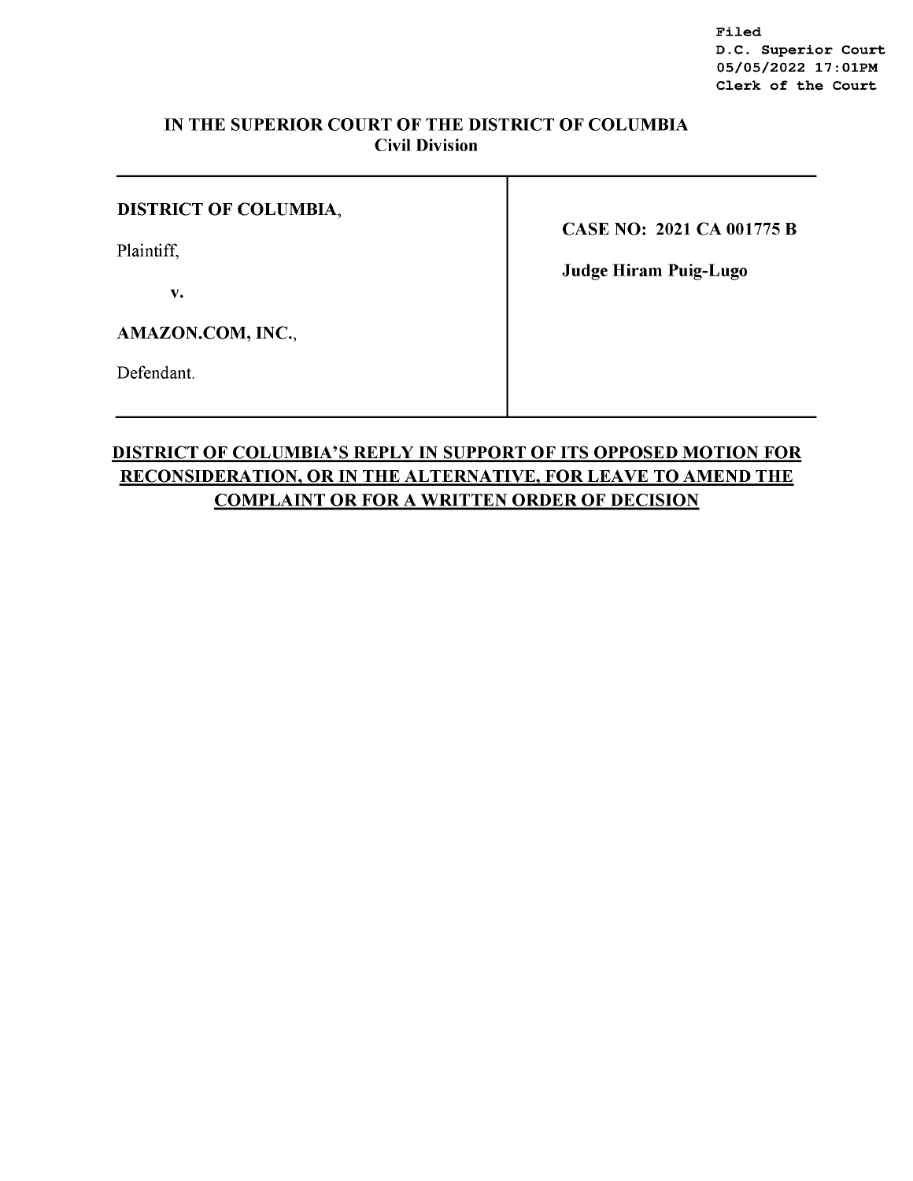Filed D.C. Superior Court 05/05/2022 17:0lPM Clerk of the Court

## IN THE SUPERIOR COURT OF THE DISTRICT OF COLUMBIA Civil Division

| <b>DISTRICT OF COLUMBIA,</b> | <b>CASE NO: 2021 CA 001775 B</b> |
|------------------------------|----------------------------------|
| Plaintiff,<br>v.             | <b>Judge Hiram Puig-Lugo</b>     |
| AMAZON.COM, INC.,            |                                  |
| Defendant.                   |                                  |

T

# DISTRICT OF COLUMBIA'S REPLY IN SUPPORT OF ITS OPPOSED MOTION FOR RECONSIDERATION, OR IN THE ALTERNATIVE, FOR LEAVE TO AMEND THE COMPLAINT OR FOR A WRITTEN ORDER OF DECISION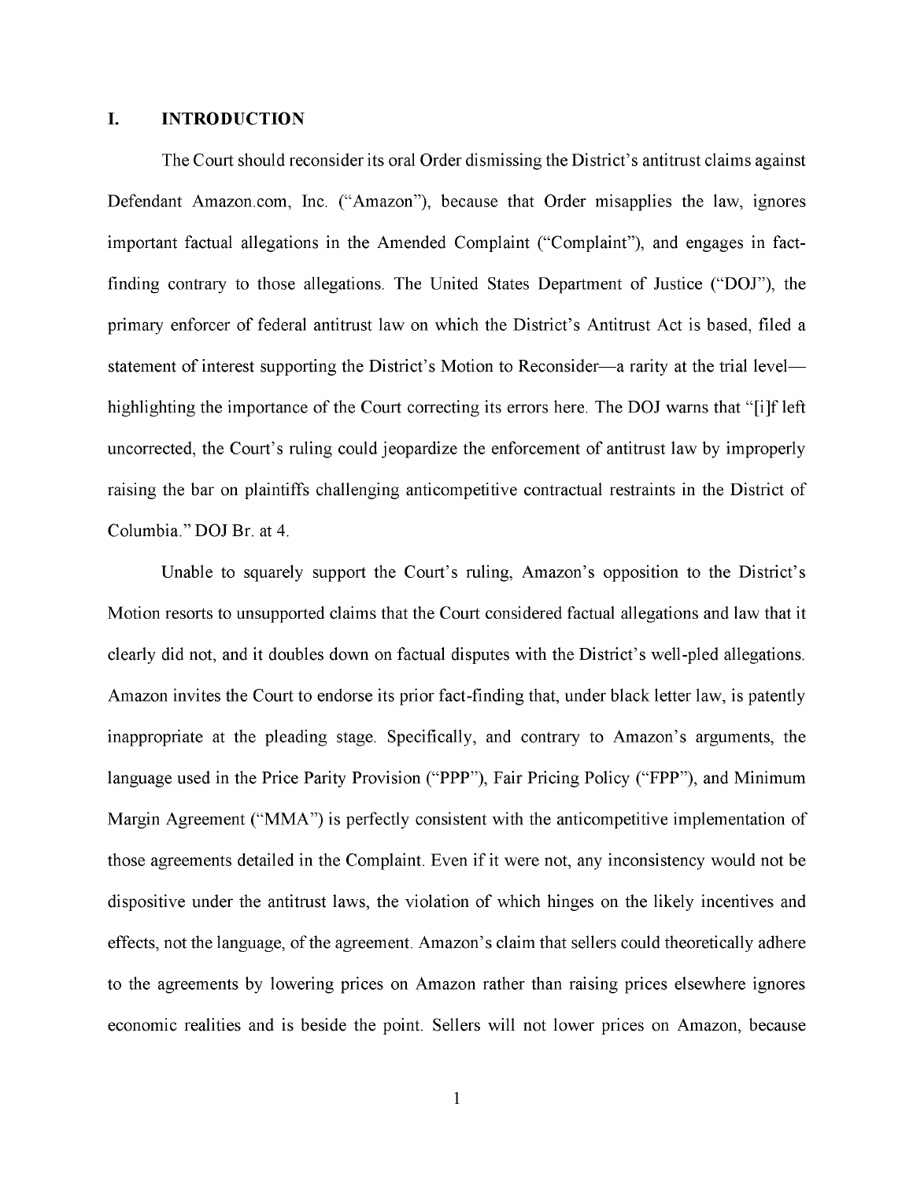## **I. INTRODUCTION**

The Court should reconsider its oral Order dismissing the District's antitrust claims against Defendant Amazon.com, Inc. ("Amazon"), because that Order misapplies the law, ignores important factual allegations in the Amended Complaint ("Complaint"), and engages in factfinding contrary to those allegations. The United States Department of Justice **("DOJ"),** the primary enforcer of federal antitrust law on which the District's Antitrust Act is based, filed a statement of interest supporting the District's Motion to Reconsider-a rarity at the trial levelhighlighting the importance of the Court correcting its errors here. The **DOJ** warns that "[i]f left uncorrected, the Court's ruling could jeopardize the enforcement of antitrust law by improperly raising the bar on plaintiffs challenging anticompetitive contractual restraints in the District of Columbia." **DOJ** Br. at 4.

Unable to squarely support the Court's ruling, Amazon's opposition to the District's Motion resorts to unsupported claims that the Court considered factual allegations and law that it clearly did not, and it doubles down on factual disputes with the District's well-pled allegations. Amazon invites the Court to endorse its prior fact-finding that, under black letter law, is patently inappropriate at the pleading stage. Specifically, and contrary to Amazon's arguments, the language used in the Price Parity Provision **("PPP"),** Fair Pricing Policy **("FPP"),** and Minimum Margin Agreement ("MMA") is perfectly consistent with the anticompetitive implementation of those agreements detailed in the Complaint. Even if it were not, any inconsistency would not be dispositive under the antitrust laws, the violation of which hinges on the likely incentives and effects, not the language, of the agreement. Amazon's claim that sellers could theoretically adhere to the agreements by lowering prices on Amazon rather than raising prices elsewhere ignores economic realities and is beside the point. Sellers will not lower prices on Amazon, because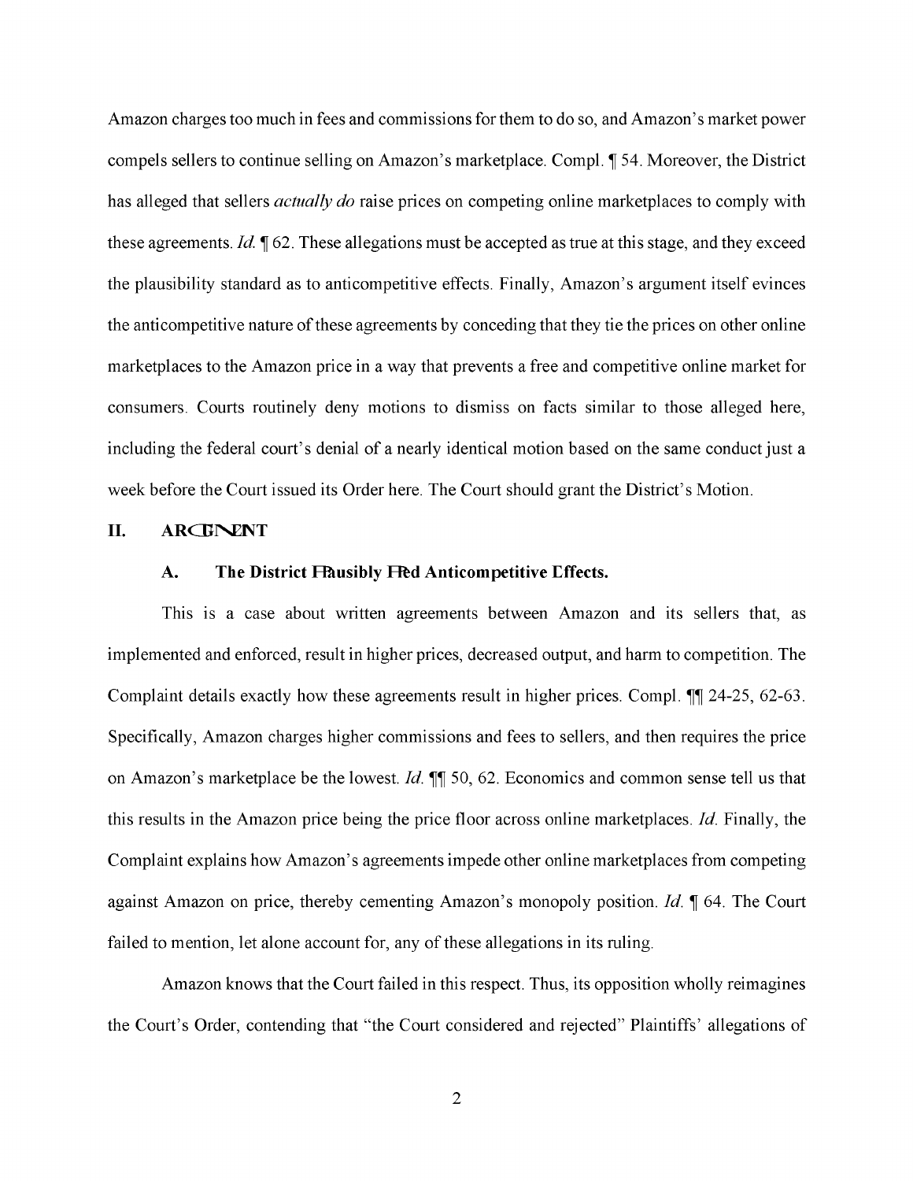Amazon charges too much in fees and commissions for them to do so, and Amazon's market power compels sellers to continue selling on Amazon's marketplace. Compl.  $\parallel$  54. Moreover, the District has alleged that sellers *actually do* raise prices on competing online marketplaces to comply with these agreements. *Id.*  $\sqrt{ }$  62. These allegations must be accepted as true at this stage, and they exceed the plausibility standard as to anticompetitive effects. Finally, Amazon's argument itself evinces the anticompetitive nature of these agreements by conceding that they tie the prices on other online marketplaces to the Amazon price in a way that prevents a free and competitive online market for consumers. Courts routinely deny motions to dismiss on facts similar to those alleged here, including the federal court's denial of a nearly identical motion based on the same conduct just a week before the Court issued its Order here. The Court should grant the District's Motion.

### **II.** ARCHNENT

#### A. The District Flausibly Feed Anticompetitive Effects.

This is a case about written agreements between Amazon and its sellers that, as implemented and enforced, result in higher prices, decreased output, and harm to competition. The Complaint details exactly how these agreements result in higher prices. Compl. III 24-25, 62-63. Specifically, Amazon charges higher commissions and fees to sellers, and then requires the price on Amazon's marketplace be the lowest. *Id.*  $\P$  50, 62. Economics and common sense tell us that this results in the Amazon price being the price floor across online marketplaces. *Id.* Finally, the Complaint explains how Amazon's agreements impede other online marketplaces from competing against Amazon on price, thereby cementing Amazon's monopoly position. *Id.* **1** 64. The Court failed to mention, let alone account for, any of these allegations in its ruling.

Amazon knows that the Court failed in this respect. Thus, its opposition wholly reimagines the Court's Order, contending that "the Court considered and rejected" Plaintiffs' allegations of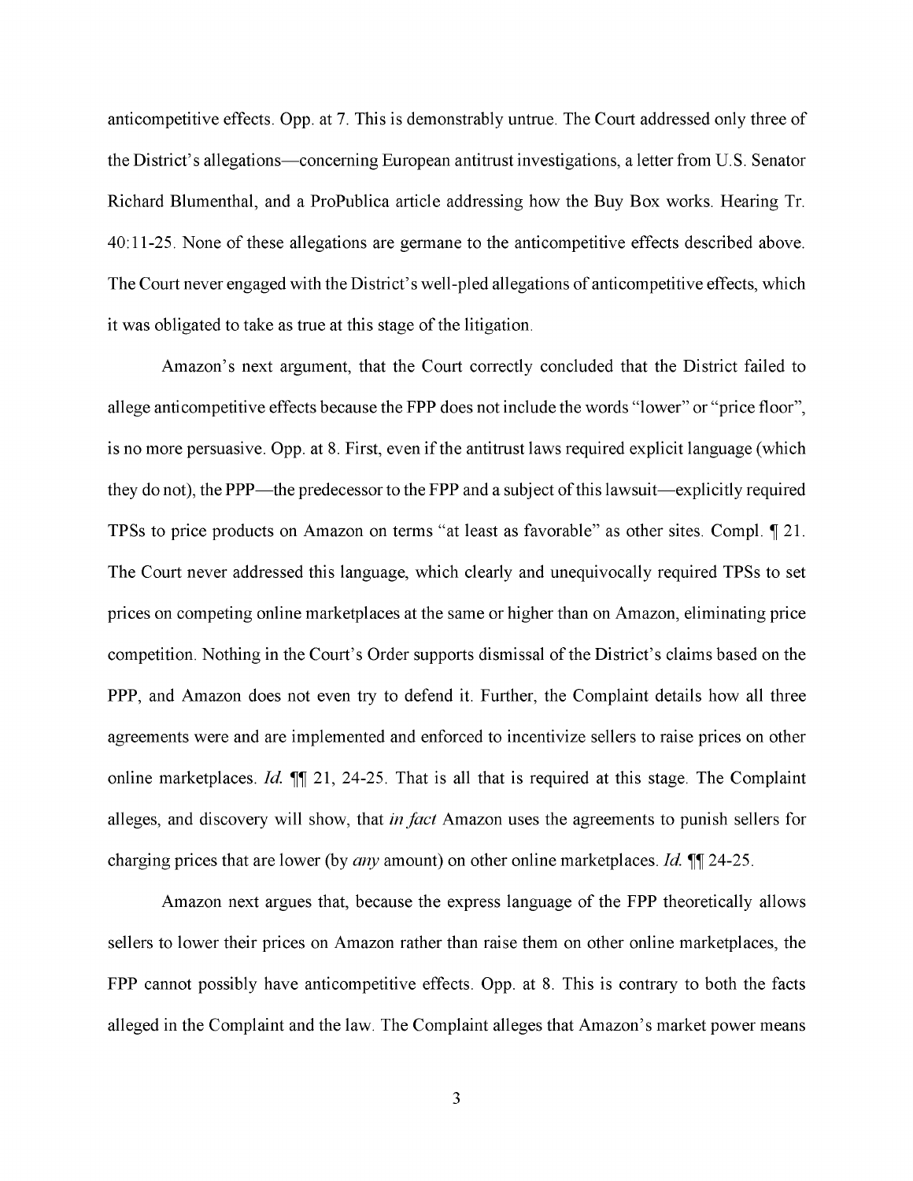anticompetitive effects. Opp. at 7. This is demonstrably untrue. The Court addressed only three of the District's allegations-concerning European antitrust investigations, a letter from U.S. Senator Richard Blumenthal, and a ProPublica article addressing how the Buy Box works. Hearing Tr. 40:11-25. None of these allegations are germane to the anticompetitive effects described above. The Court never engaged with the District's well-pled allegations of anticompetitive effects, which it was obligated to take as true at this stage of the litigation.

Amazon's next argument, that the Court correctly concluded that the District failed to allege anticompetitive effects because the FPP does not include the words "lower" or "price floor", is no more persuasive. Opp. at 8. First, even if the antitrust laws required explicit language (which they do not), the PPP—the predecessor to the FPP and a subject of this lawsuit—explicitly required TPSs to price products on Amazon on terms "at least as favorable" as other sites. Compl.  $\llbracket 21$ . The Court never addressed this language, which clearly and unequivocally required TPSs to set prices on competing online marketplaces at the same or higher than on Amazon, eliminating price competition. Nothing in the Court's Order supports dismissal of the District's claims based on the PPP, and Amazon does not even try to defend it. Further, the Complaint details how all three agreements were and are implemented and enforced to incentivize sellers to raise prices on other online marketplaces. *Id.*  $\P$ [ 21, 24-25. That is all that is required at this stage. The Complaint alleges, and discovery will show, that *in fact* Amazon uses the agreements to punish sellers for charging prices that are lower (by *any* amount) on other online marketplaces. *Id.* **11** 24-25.

Amazon next argues that, because the express language of the FPP theoretically allows sellers to lower their prices on Amazon rather than raise them on other online marketplaces, the FPP cannot possibly have anticompetitive effects. Opp. at 8. This is contrary to both the facts alleged in the Complaint and the law. The Complaint alleges that Amazon's market power means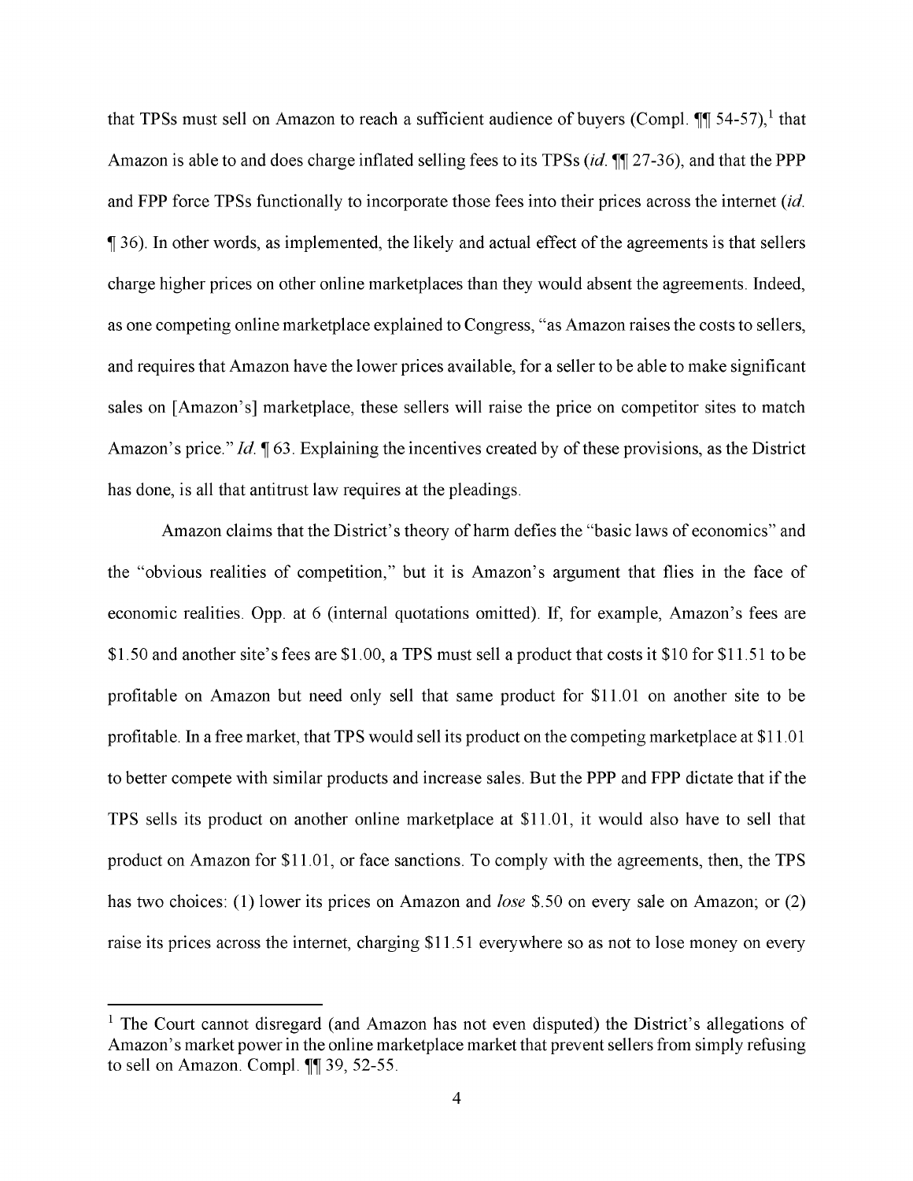that TPSs must sell on Amazon to reach a sufficient audience of buyers (Compl.  $\P\P$  54-57),<sup>1</sup> that Amazon is able to and does charge inflated selling fees to its TPSs *(id.* **11** 27-36), and that the PPP and FPP force TPSs functionally to incorporate those fees into their prices across the internet *(id.*   $\parallel$  36). In other words, as implemented, the likely and actual effect of the agreements is that sellers charge higher prices on other online marketplaces than they would absent the agreements. Indeed, as one competing online marketplace explained to Congress, "as Amazon raises the costs to sellers, and requires that Amazon have the lower prices available, for a seller to be able to make significant sales on [Amazon's] marketplace, these sellers will raise the price on competitor sites to match Amazon's price." *Id.* **|** 63. Explaining the incentives created by of these provisions, as the District has done, is all that antitrust law requires at the pleadings.

Amazon claims that the District's theory of harm defies the "basic laws of economics" and the "obvious realities of competition," but it is Amazon's argument that flies in the face of economic realities. Opp. at 6 (internal quotations omitted). If, for example, Amazon's fees are \$1.50 and another site's fees are \$1.00, a TPS must sell a product that costs it \$10 for \$11.51 to be profitable on Amazon but need only sell that same product for \$11.01 on another site to be profitable. In a free market, that TPS would sell its product on the competing marketplace at \$11.01 to better compete with similar products and increase sales. But the PPP and FPP dictate that if the **TPS** sells its product on another online marketplace at \$11.01, it would also have to sell that product on Amazon for \$11.01, or face sanctions. To comply with the agreements, then, the TPS has two choices: (1) lower its prices on Amazon and *lose* \$.50 on every sale on Amazon; or (2) raise its prices across the internet, charging \$11.51 everywhere so as not to lose money on every

 $<sup>1</sup>$  The Court cannot disregard (and Amazon has not even disputed) the District's allegations of</sup> Amazon's market power in the online marketplace market that prevent sellers from simply refusing to sell on Amazon. Compl.  $\P$ [9] 39, 52-55.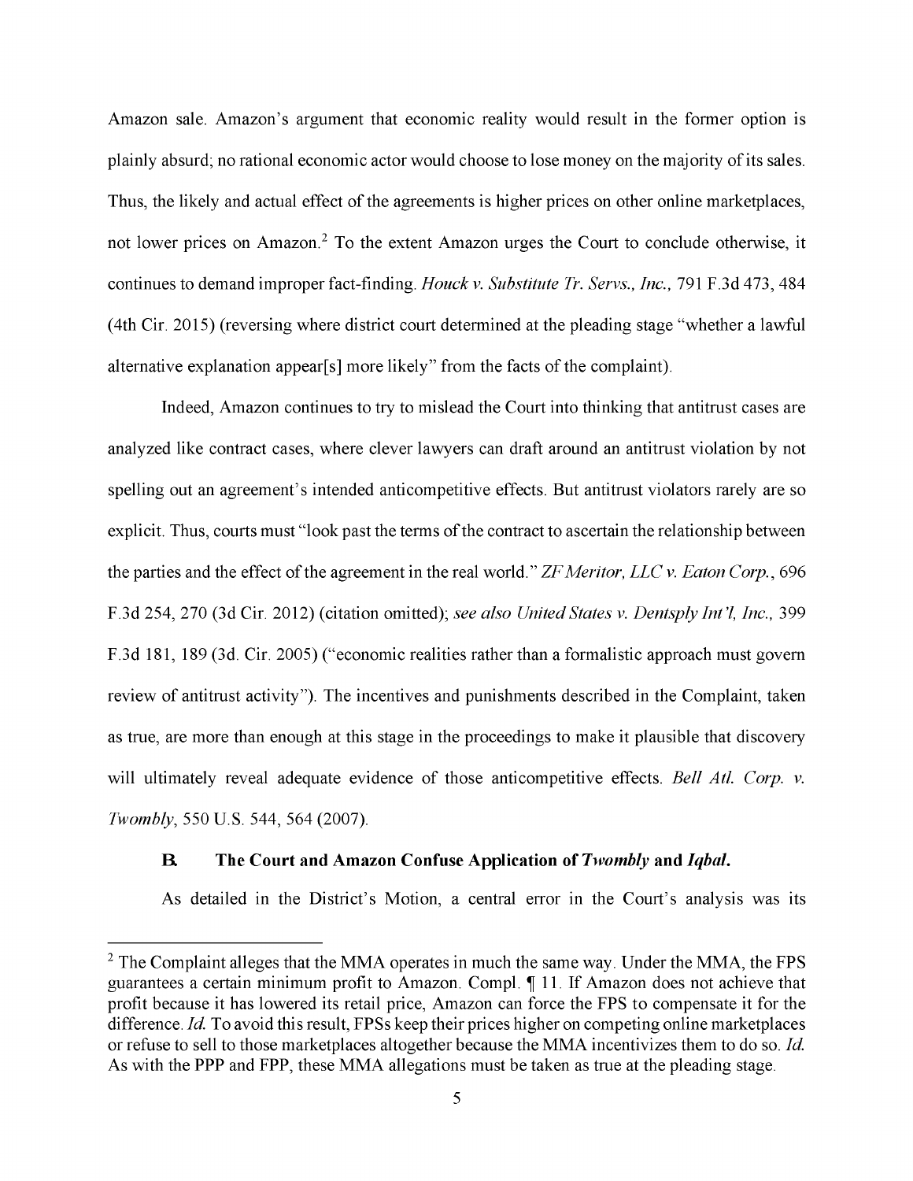Amazon sale. Amazon's argument that economic reality would result in the former option is plainly absurd; no rational economic actor would choose to lose money on the majority of its sales. Thus, the likely and actual effect of the agreements is higher prices on other online marketplaces, not lower prices on Amazon.<sup>2</sup> To the extent Amazon urges the Court to conclude otherwise, it continues to demand improper fact-finding. *Houck v. Substitute Tr. Servs., Inc.,* 791 F.3d 473,484 (4th Cir. 2015) (reversing where district court determined at the pleading stage "whether a lawful alternative explanation appear[s] more likely" from the facts of the complaint).

Indeed, Amazon continues to try to mislead the Court into thinking that antitrust cases are analyzed like contract cases, where clever lawyers can draft around an antitrust violation by not spelling out an agreement's intended anticompetitive effects. But antitrust violators rarely are so explicit. Thus, courts must "look past the terms of the contract to ascertain the relationship between the parties and the effect of the agreement in the real world." *ZF Meritor, LLC v. Eaton Corp.,* 696 F.3d 254,270 (3d Cir. 2012) (citation omitted); *see also United States v. Dentsply Int'l, Inc.,* 399 F.3d 181, 189 (3d. Cir. 2005) ("economic realities rather than a formalistic approach must govern review of antitrust activity"). The incentives and punishments described in the Complaint, taken as true, are more than enough at this stage in the proceedings to make it plausible that discovery will ultimately reveal adequate evidence of those anticompetitive effects. *Bell Atl. Corp. v. Twombly,* 550 U.S. 544, 564 (2007).

## **R The Court and Amazon Confuse Application of** *Twombly* **and** *Iqbal.*

As detailed in the District's Motion, a central error in the Court's analysis was its

 $<sup>2</sup>$  The Complaint alleges that the MMA operates in much the same way. Under the MMA, the FPS</sup> guarantees a certain minimum profit to Amazon. Compl.  $\parallel$  11. If Amazon does not achieve that profit because it has lowered its retail price, Amazon can force the FPS to compensate it for the difference. *Id*. To avoid this result, FPSs keep their prices higher on competing online marketplaces or refuse to sell to those marketplaces altogether because the MMA incentivizes them to do so. *Id*  As with the PPP and FPP, these MMA allegations must be taken as true at the pleading stage.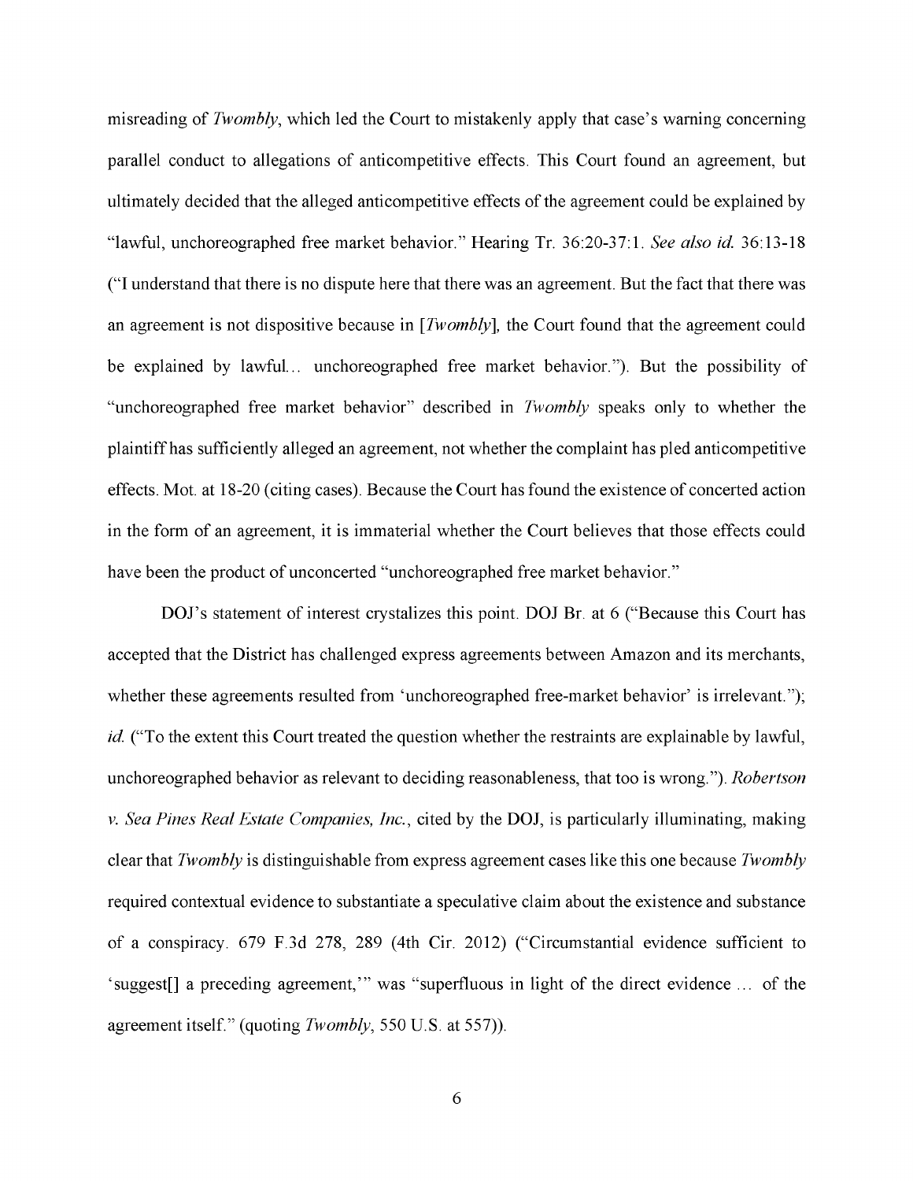misreading of *Twombly,* which led the Court to mistakenly apply that case's warning concerning parallel conduct to allegations of anticompetitive effects. This Court found an agreement, but ultimately decided that the alleged anticompetitive effects of the agreement could be explained by "lawful, unchoreographed free market behavior." Hearing Tr. 36:20-37:1. *See also id* 36:13-18 ("I understand that there is no dispute here that there was an agreement. But the fact that there was an agreement is not dispositive because in *[Twombly],* the Court found that the agreement could be explained by lawful... unchoreographed free market behavior."). But the possibility of "unchoreographed free market behavior" described in *Twombly* speaks only to whether the plaintiff has sufficiently alleged an agreement, not whether the complaint has pled anticompetitive effects. Mot. at 18-20 ( citing cases). Because the Court has found the existence of concerted action in the form of an agreement, it is immaterial whether the Court believes that those effects could have been the product of unconcerted "unchoreographed free market behavior."

DOJ's statement of interest crystalizes this point. DOJ Br. at 6 ("Because this Court has accepted that the District has challenged express agreements between Amazon and its merchants, whether these agreements resulted from 'unchoreographed free-market behavior' is irrelevant."); *id.* ("To the extent this Court treated the question whether the restraints are explainable by lawful, unchoreographed behavior as relevant to deciding reasonableness, that too is wrong."). *Robertson v. Sea Pines Real Estate Companies, Inc.,* cited by the **DOJ,** is particularly illuminating, making clear that *Twombly* is distinguishable from express agreement cases like this one because *Twombly*  required contextual evidence to substantiate a speculative claim about the existence and substance of a conspiracy. 679 F.3d 278, 289 (4th Cir. 2012) ("Circumstantial evidence sufficient to 'suggest[] a preceding agreement,'" was "superfluous in light of the direct evidence . . . of the agreement itself." (quoting *Twombly*, 550 U.S. at 557)).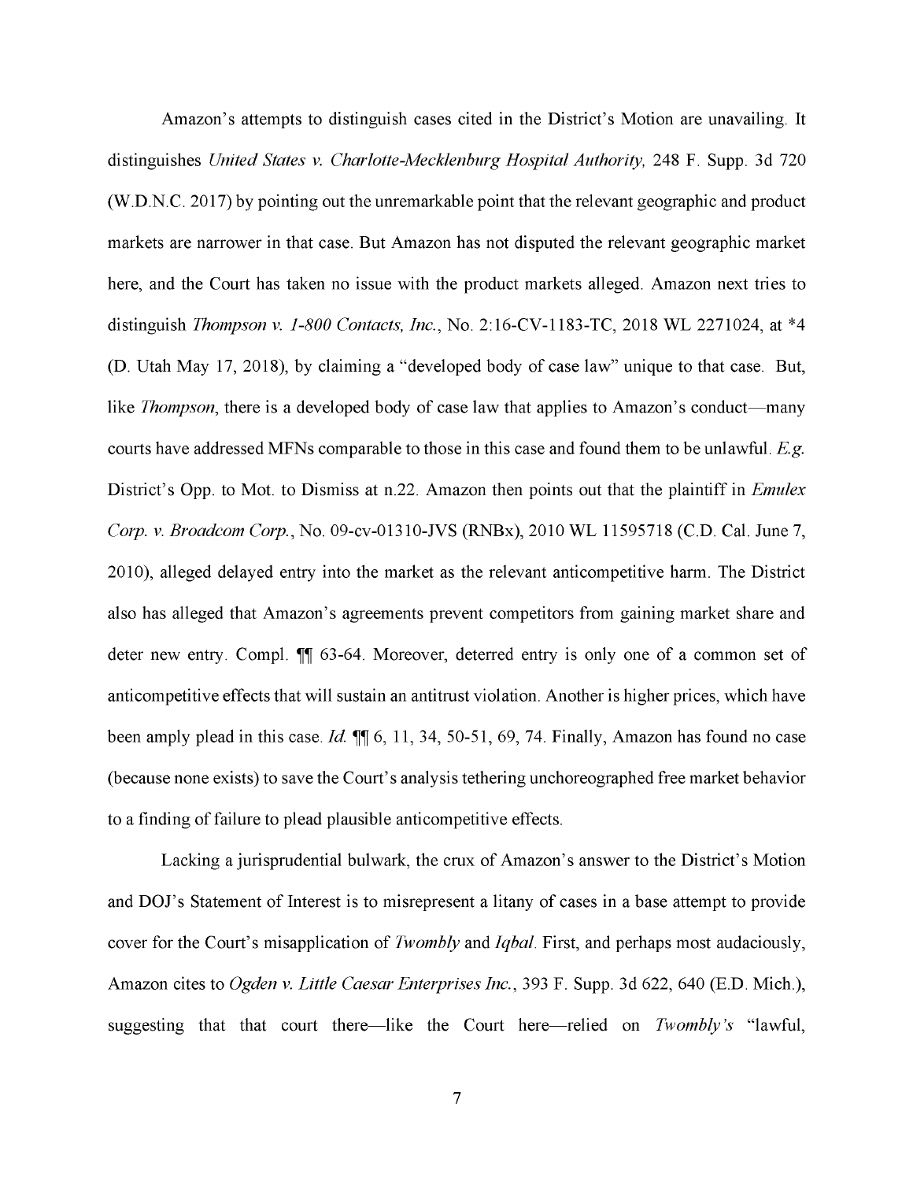Amazon's attempts to distinguish cases cited in the District's Motion are unavailing. It distinguishes *United States v. Charlotte-Mecklenburg Hospital Authority,* 248 F. Supp. 3d 720 (W.D.N.C. 2017) by pointing out the unremarkable point that the relevant geographic and product markets are narrower in that case. But Amazon has not disputed the relevant geographic market here, and the Court has taken no issue with the product markets alleged. Amazon next tries to distinguish *Thompson v. 1-800 Contacts, Inc.,* No. 2: 16-CV-1183-TC, 2018 WL 2271024, at \*4 (D. Utah May 17, 2018), by claiming a "developed body of case law" unique to that case. But, like *Thompson*, there is a developed body of case law that applies to Amazon's conduct—many courts have addressed MFNs comparable to those in this case and found them to be unlawful. *E.g.*  District's Opp. to Mot. to Dismiss at n.22. Amazon then points out that the plaintiff in *Emulex Corp. v. Broadcom Corp.,* No. 09-cv-01310-JVS (RNBx), 2010 WL 11595718 (C.D. Cal. June 7, 2010), alleged delayed entry into the market as the relevant anticompetitive harm. The District also has alleged that Amazon's agreements prevent competitors from gaining market share and deter new entry. Compl. II 63-64. Moreover, deterred entry is only one of a common set of anticompetitive effects that will sustain an antitrust violation. Another is higher prices, which have been amply plead in this case. *Id.*  $\P$  6, 11, 34, 50-51, 69, 74. Finally, Amazon has found no case (because none exists) to save the Court's analysis tethering unchoreographed free market behavior to a finding of failure to plead plausible anticompetitive effects.

Lacking a jurisprudential bulwark, the crux of Amazon's answer to the District's Motion and **DOJ**'s Statement of Interest is to misrepresent a litany of cases in a base attempt to provide cover for the Court's misapplication of *Twombly* and *Iqbal.* First, and perhaps most audaciously, Amazon cites to *Ogden v. Little Caesar Enterprises Inc.,* 393 F. Supp. 3d 622, 640 (E.D. Mich.), suggesting that that court there—like the Court here—relied on *Twombly's* "lawful,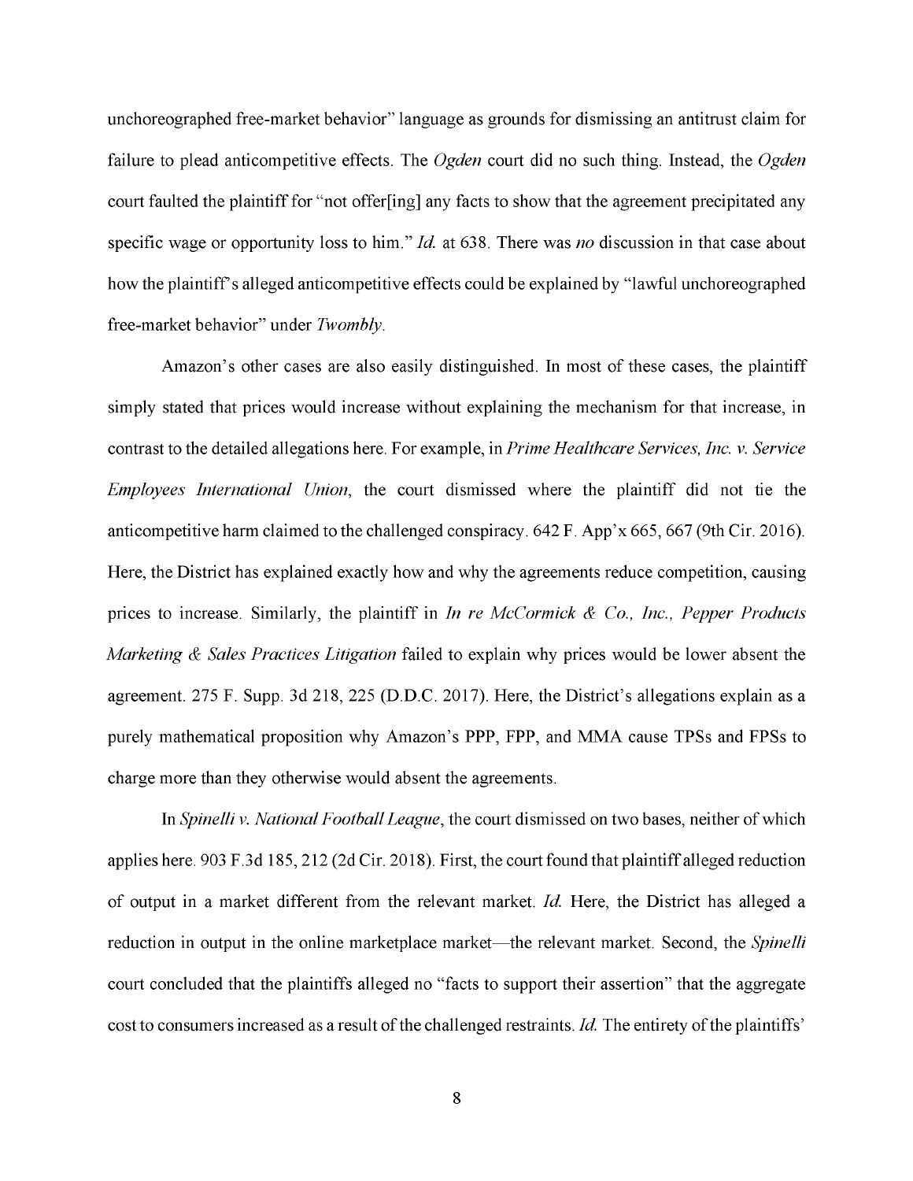unchoreographed free-market behavior" language as grounds for dismissing an antitrust claim for failure to plead anticompetitive effects. The *Ogden* court did no such thing. Instead, the *Ogden*  court faulted the plaintiff for "not offer[ing] any facts to show that the agreement precipitated any specific wage or opportunity loss to him." *Id* at 638. There was *no* discussion in that case about how the plaintiff's alleged anticompetitive effects could be explained by "lawful unchoreographed free-market behavior" under *Twombly.* 

Amazon's other cases are also easily distinguished. In most of these cases, the plaintiff simply stated that prices would increase without explaining the mechanism for that increase, in contrast to the detailed allegations here. For example, in *Prime Healthcare Services, Inc. v. Service Employees International Union,* the court dismissed where the plaintiff did not tie the anticompetitive harm claimed to the challenged conspiracy. 642 F. App'x 665,667 (9th Cir. 2016). Here, the District has explained exactly how and why the agreements reduce competition, causing prices to increase. Similarly, the plaintiff in *In re McCormick & Co., Inc., Pepper Products Marketing & Sales Practices Litigation* failed to explain why prices would be lower absent the agreement. 275 F. Supp. 3d 218, 225 (D.D.C. 2017). Here, the District's allegations explain as a purely mathematical proposition why Amazon's PPP, FPP, and MMA cause TPSs and FPSs to charge more than they otherwise would absent the agreements.

In *Spinelli v. National Football League,* the court dismissed on two bases, neither of which applies here. 903 F.3d 185,212 (2d Cir. 2018). First, the court found that plaintiff alleged reduction of output in a market different from the relevant market. *Id* Here, the District has alleged a reduction in output in the online marketplace market—the relevant market. Second, the *Spinelli* court concluded that the plaintiffs alleged no "facts to support their assertion" that the aggregate cost to consumers increased as a result of the challenged restraints. *Id*. The entirety of the plaintiffs'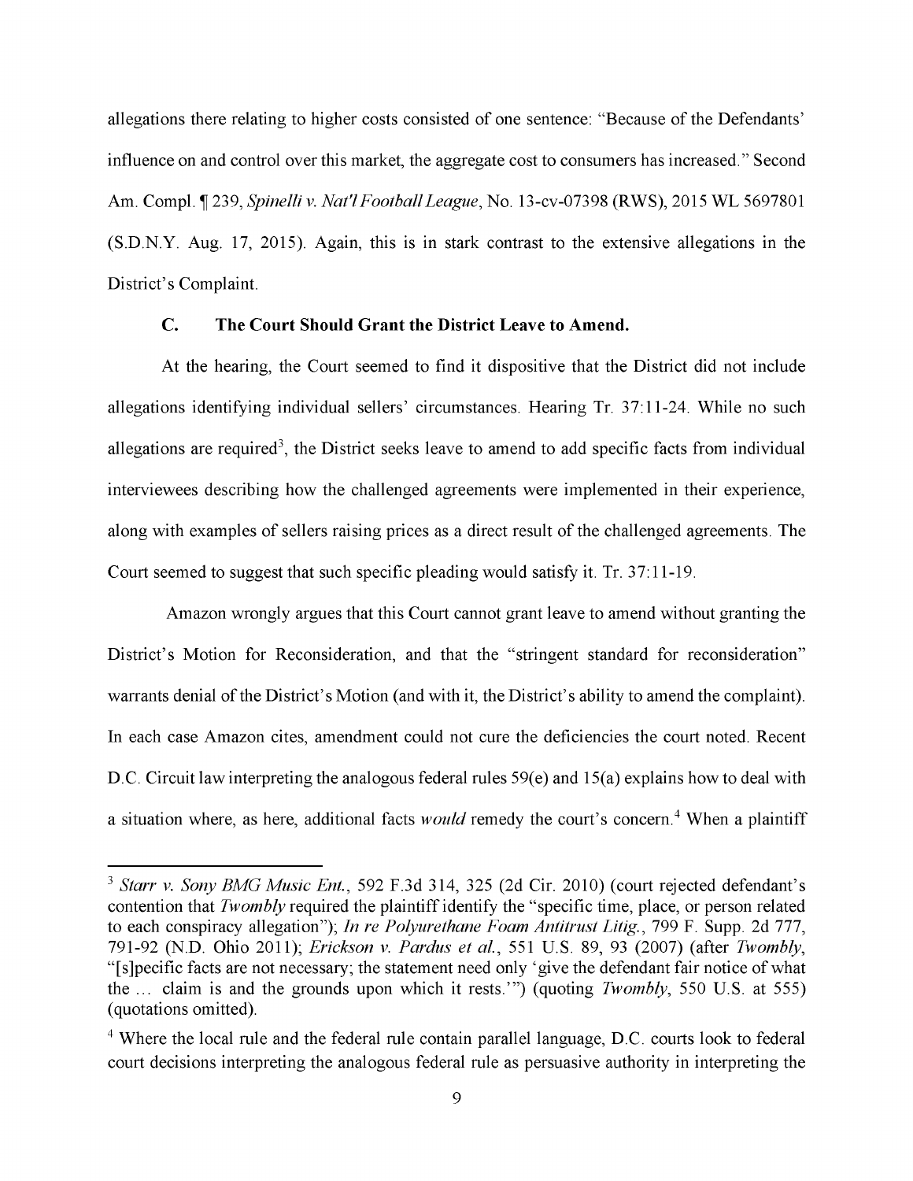allegations there relating to higher costs consisted of one sentence: "Because of the Defendants' influence on and control over this market, the aggregate cost to consumers has increased." Second Am. Compl. ¶ 239, *Spinelli v. Nat'l Football League*, No. 13-cv-07398 (RWS), 2015 WL 5697801 (S.D.N.Y. Aug. 17, 2015). Again, this is in stark contrast to the extensive allegations in the District's Complaint.

## **C. The Court Should Grant the District Leave to Amend.**

At the hearing, the Court seemed to find it dispositive that the District did not include allegations identifying individual sellers' circumstances. Hearing Tr. 37:11-24. While no such allegations are required<sup>3</sup>, the District seeks leave to amend to add specific facts from individual interviewees describing how the challenged agreements were implemented in their experience, along with examples of sellers raising prices as a direct result of the challenged agreements. The Court seemed to suggest that such specific pleading would satisfy it. Tr. 37:11-19.

Amazon wrongly argues that this Court cannot grant leave to amend without granting the District's Motion for Reconsideration, and that the "stringent standard for reconsideration" warrants denial of the District's Motion (and with it, the District's ability to amend the complaint). In each case Amazon cites, amendment could not cure the deficiencies the court noted. Recent **D.C.** Circuit law interpreting the analogous federal rules 59(e) and 15(a) explains how to deal with a situation where, as here, additional facts *would* remedy the court's concern. 4 When a plaintiff

<sup>3</sup>*Starr v. Sony BMG Music Ent.,* 592 F.3d 314, 325 (2d Cir. 2010) (court rejected defendant's contention that *Twombly* required the plaintiff identify the "specific time, place, or person related to each conspiracy allegation"); *In re Polyurethane Foam Antitrust Litig.,* 799 F. Supp. 2d 777, 791-92 (N.D. Ohio 2011); *Erickson v. Pardus et al.,* 551 U.S. 89, 93 (2007) (after *Twombly,*  "[s]pecific facts are not necessary; the statement need only 'give the defendant fair notice of what the ... claim is and the grounds upon which it rests."') (quoting *Twombly,* 550 U.S. at 555) ( quotations omitted).

<sup>&</sup>lt;sup>4</sup> Where the local rule and the federal rule contain parallel language, D.C. courts look to federal court decisions interpreting the analogous federal rule as persuasive authority in interpreting the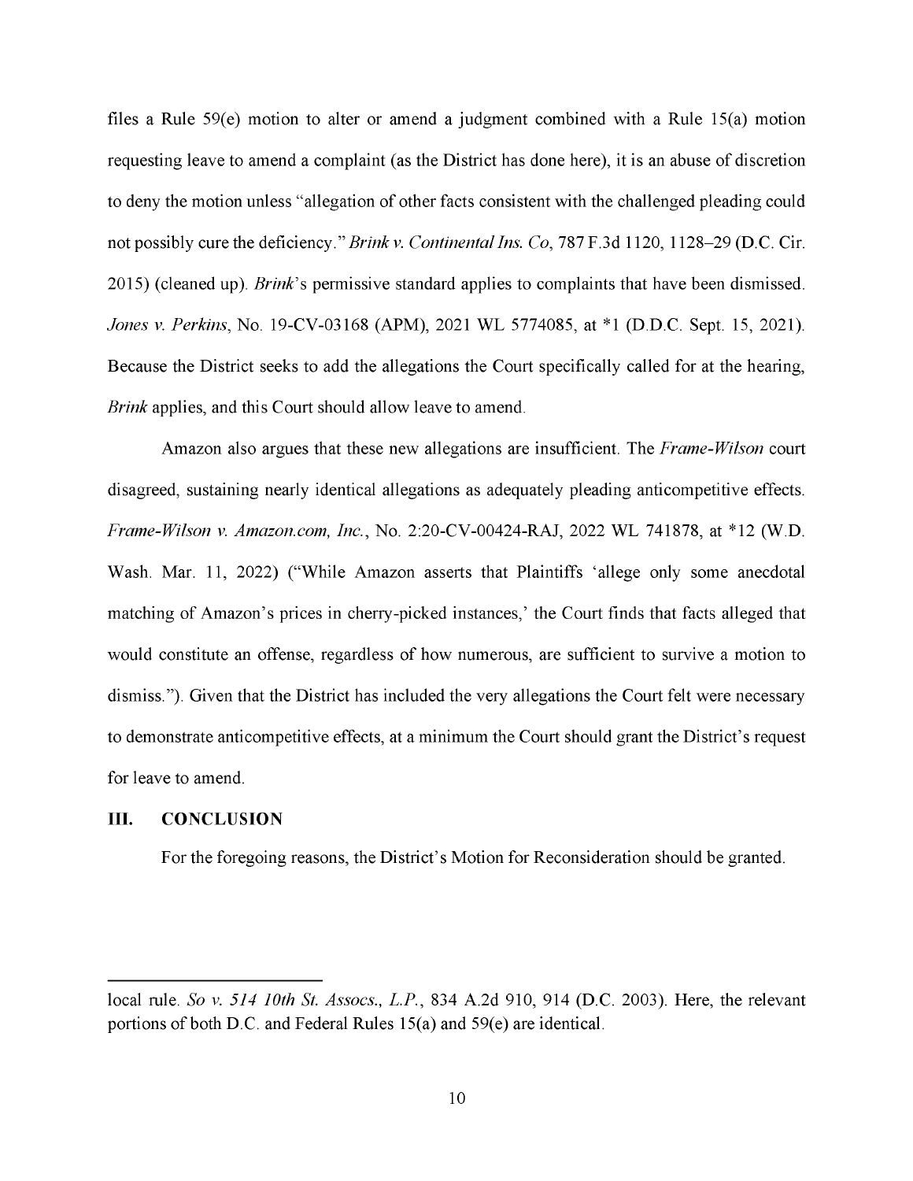files a Rule 59(e) motion to alter or amend a judgment combined with a Rule 15(a) motion requesting leave to amend a complaint (as the District has done here), it is an abuse of discretion to deny the motion unless "allegation of other facts consistent with the challenged pleading could not possibly cure the deficiency." *Brinkv. Continental Ins. Co,* 787 F.3d 1120, 1128-29 (D.C. Cir. 2015) ( cleaned up). *Brink's* permissive standard applies to complaints that have been dismissed. *Jones v. Perkins,* No. 19-CV-03168 (APM), 2021 WL 5774085, at \*l (D.D.C. Sept. 15, 2021). Because the District seeks to add the allegations the Court specifically called for at the hearing, *Brink* applies, and this Court should allow leave to amend.

Amazon also argues that these new allegations are insufficient. The *Frame-Wilson* court disagreed, sustaining nearly identical allegations as adequately pleading anticompetitive effects. *Frame-Wilson v. Amazon.com, Inc.,* No. 2:20-CV-00424-RAJ, 2022 WL 741878, at \*12 (W.D. Wash. Mar. 11, 2022) ("While Amazon asserts that Plaintiffs 'allege only some anecdotal matching of Amazon's prices in cherry-picked instances,' the Court finds that facts alleged that would constitute an offense, regardless of how numerous, are sufficient to survive a motion to dismiss."). Given that the District has included the very allegations the Court felt were necessary to demonstrate anticompetitive effects, at a minimum the Court should grant the District's request for leave to amend.

### **III. CONCLUSION**

For the foregoing reasons, the District's Motion for Reconsideration should be granted.

local rule. *So v. 514 10th St. Assocs., L.P.,* 834 A.2d 910, 914 (D.C. 2003). Here, the relevant portions of both D.C. and Federal Rules 15(a) and 59(e) are identical.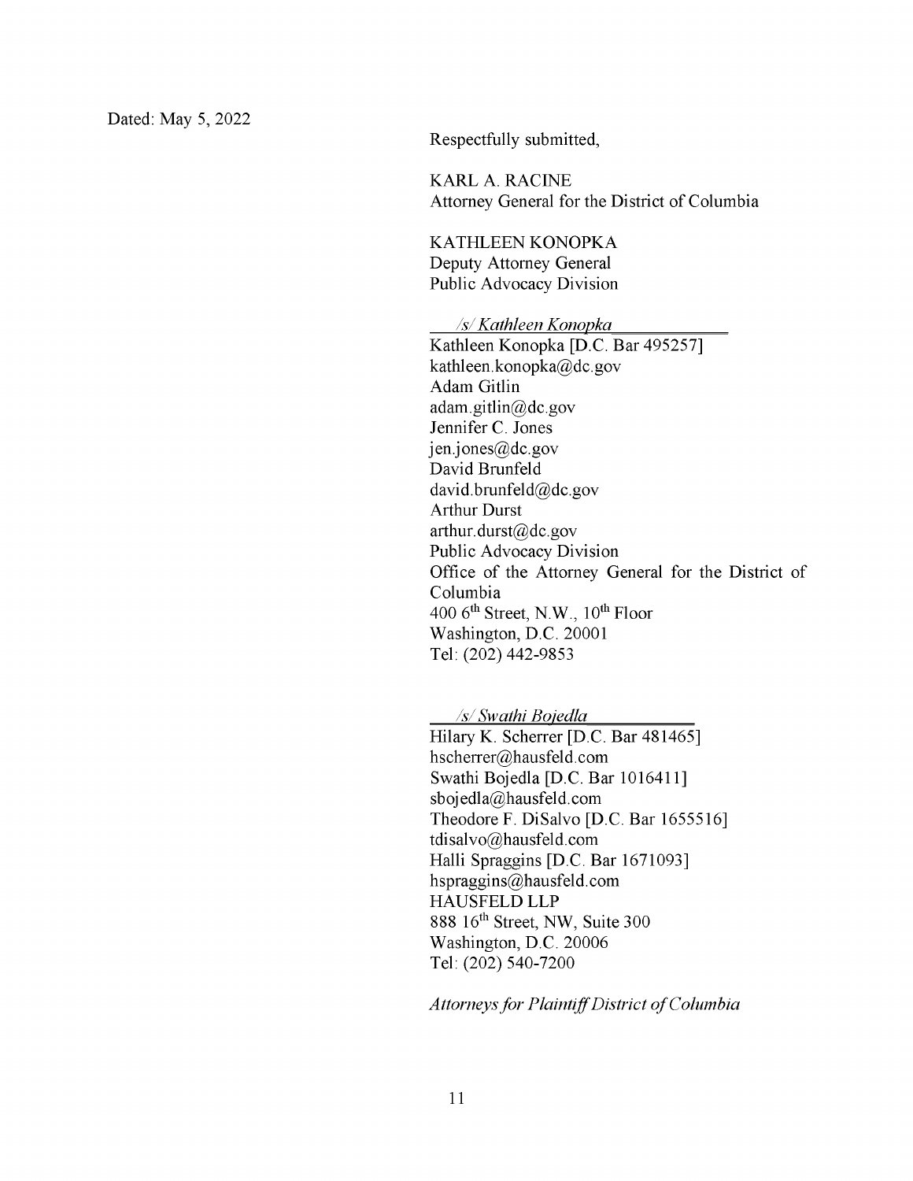Respectfully submitted,

KARL A. RACINE Attorney General for the District of Columbia

KATHLEEN KONOPKA Deputy Attorney General Public Advocacy Division

*Isl Kathleen Konopka*  Kathleen Konopka [D.C. Bar 495257] kathleen.konopka@dc.gov Adam Gitlin adam.gitlin@dc.gov Jennifer C. Jones  $jen.jones@dc.gov$ David Brunfeld david.brunfeld@dc.gov Arthur Durst arthur. durst@dc.gov Public Advocacy Division Office of the Attorney General for the District of Columbia 400 6<sup>th</sup> Street, N.W., 10<sup>th</sup> Floor Washington, D.C. 20001 Tel: (202) 442-9853

*Isl Swathi Boiedla* 

Hilary K. Scherrer [D.C. Bar 481465] hscherrer@hausfeld.com Swathi Bojedla [D.C. Bar 1016411] sboj edla@hausfeld.com Theodore F. DiSalvo [D.C. Bar 1655516] tdisalvo@hausfeld.com Halli Spraggins [D.C. Bar 1671093] hspraggins@hausfeld.com HAUSFELD **LLP**  888 16<sup>th</sup> Street, NW, Suite 300 Washington, D.C. 20006 Tel: (202) 540-7200

*Attorneys for Plaintiff District of Columbia*